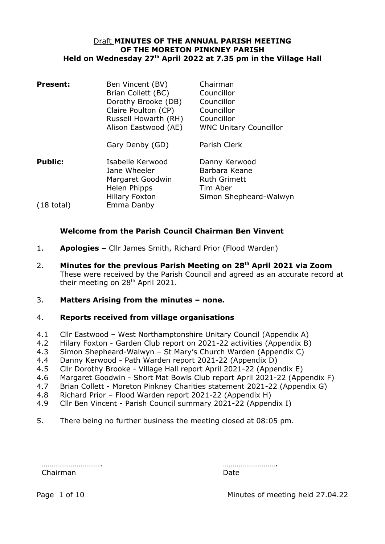### Draft **MINUTES OF THE ANNUAL PARISH MEETING OF THE MORETON PINKNEY PARISH Held on Wednesday 27th April 2022 at 7.35 pm in the Village Hall**

| <b>Present:</b>      | Ben Vincent (BV)<br>Brian Collett (BC)<br>Dorothy Brooke (DB)<br>Claire Poulton (CP)<br>Russell Howarth (RH)<br>Alison Eastwood (AE) | Chairman<br>Councillor<br>Councillor<br>Councillor<br>Councillor<br><b>WNC Unitary Councillor</b> |
|----------------------|--------------------------------------------------------------------------------------------------------------------------------------|---------------------------------------------------------------------------------------------------|
|                      | Gary Denby (GD)                                                                                                                      | Parish Clerk                                                                                      |
| <b>Public:</b>       | Isabelle Kerwood<br>Jane Wheeler<br>Margaret Goodwin<br>Helen Phipps                                                                 | Danny Kerwood<br>Barbara Keane<br><b>Ruth Grimett</b><br>Tim Aber                                 |
| $(18 \text{ total})$ | <b>Hillary Foxton</b><br>Emma Danby                                                                                                  | Simon Shepheard-Walwyn                                                                            |

### **Welcome from the Parish Council Chairman Ben Vinvent**

- 1. **Apologies** Cllr James Smith, Richard Prior (Flood Warden)
- 2. **Minutes for the previous Parish Meeting on 28th April 2021 via Zoom** These were received by the Parish Council and agreed as an accurate record at their meeting on 28<sup>th</sup> April 2021.
- 3. **Matters Arising from the minutes none.**

### 4. **Reports received from village organisations**

- 4.1 Cllr Eastwood West Northamptonshire Unitary Council (Appendix A)
- 4.2 Hilary Foxton Garden Club report on 2021-22 activities (Appendix B)
- 4.3 Simon Shepheard-Walwyn St Mary's Church Warden (Appendix C)
- 4.4 Danny Kerwood Path Warden report 2021-22 (Appendix D)
- 4.5 Cllr Dorothy Brooke Village Hall report April 2021-22 (Appendix E)
- 4.6 Margaret Goodwin Short Mat Bowls Club report April 2021-22 (Appendix F)
- 4.7 Brian Collett Moreton Pinkney Charities statement 2021-22 (Appendix G)
- 4.8 Richard Prior Flood Warden report 2021-22 (Appendix H)
- 4.9 Cllr Ben Vincent Parish Council summary 2021-22 (Appendix I)
- 5. There being no further business the meeting closed at 08:05 pm.

Chairman Date

…………………………. ……………………….

Page 1 of 10 Minutes of meeting held 27.04.22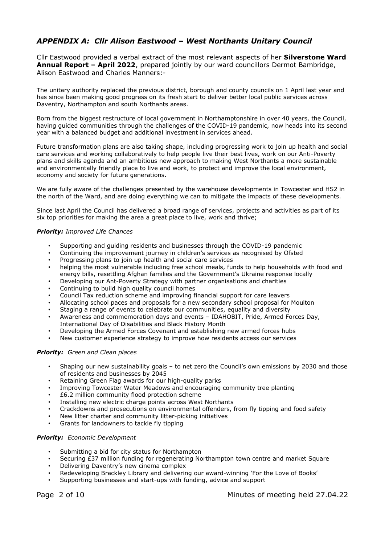## *APPENDIX A: Cllr Alison Eastwood – West Northants Unitary Council*

Cllr Eastwood provided a verbal extract of the most relevant aspects of her **Silverstone Ward Annual Report – April 2022**, prepared jointly by our ward councillors Dermot Bambridge, Alison Eastwood and Charles Manners:-

The unitary authority replaced the previous district, borough and county councils on 1 April last year and has since been making good progress on its fresh start to deliver better local public services across Daventry, Northampton and south Northants areas.

Born from the biggest restructure of local government in Northamptonshire in over 40 years, the Council, having guided communities through the challenges of the COVID-19 pandemic, now heads into its second year with a balanced budget and additional investment in services ahead.

Future transformation plans are also taking shape, including progressing work to join up health and social care services and working collaboratively to help people live their best lives, work on our Anti-Poverty plans and skills agenda and an ambitious new approach to making West Northants a more sustainable and environmentally friendly place to live and work, to protect and improve the local environment, economy and society for future generations.

We are fully aware of the challenges presented by the warehouse developments in Towcester and HS2 in the north of the Ward, and are doing everything we can to mitigate the impacts of these developments.

Since last April the Council has delivered a broad range of services, projects and activities as part of its six top priorities for making the area a great place to live, work and thrive;

#### *Priority: Improved Life Chances*

- Supporting and guiding residents and businesses through the COVID-19 pandemic
- Continuing the improvement journey in children's services as recognised by Ofsted
- Progressing plans to join up health and social care services
- helping the most vulnerable including free school meals, funds to help households with food and energy bills, resettling Afghan families and the Government's Ukraine response locally
- Developing our Ant-Poverty Strategy with partner organisations and charities
- Continuing to build high quality council homes
- Council Tax reduction scheme and improving financial support for care leavers
- Allocating school paces and proposals for a new secondary school proposal for Moulton
- Staging a range of events to celebrate our communities, equality and diversity
- Awareness and commemoration days and events IDAHOBIT, Pride, Armed Forces Day, International Day of Disabilities and Black History Month
- Developing the Armed Forces Covenant and establishing new armed forces hubs
- New customer experience strategy to improve how residents access our services

#### *Priority: Green and Clean places*

- Shaping our new sustainability goals to net zero the Council's own emissions by 2030 and those of residents and businesses by 2045
- Retaining Green Flag awards for our high-quality parks
- Improving Towcester Water Meadows and encouraging community tree planting
- £6.2 million community flood protection scheme
- Installing new electric charge points across West Northants
- Crackdowns and prosecutions on environmental offenders, from fly tipping and food safety
- New litter charter and community litter-picking initiatives
- Grants for landowners to tackle fly tipping

#### *Priority: Economic Development*

- Submitting a bid for city status for Northampton
- Securing £37 million funding for regenerating Northampton town centre and market Square
- Delivering Daventry's new cinema complex
- Redeveloping Brackley Library and delivering our award-winning 'For the Love of Books'
- Supporting businesses and start-ups with funding, advice and support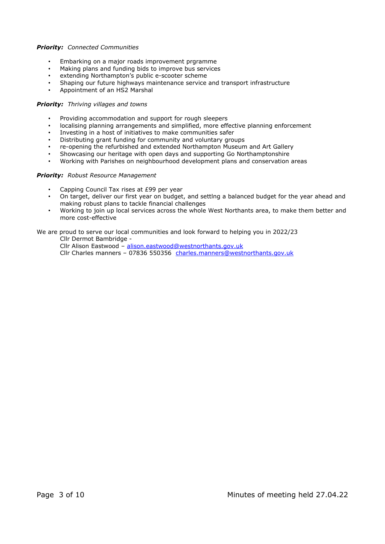### *Priority: Connected Communities*

- Embarking on a major roads improvement prgramme
- Making plans and funding bids to improve bus services
- extending Northampton's public e-scooter scheme
- Shaping our future highways maintenance service and transport infrastructure
- Appointment of an HS2 Marshal

#### *Priority: Thriving villages and towns*

- Providing accommodation and support for rough sleepers
- localising planning arrangements and simplified, more effective planning enforcement
- Investing in a host of initiatives to make communities safer
- Distributing grant funding for community and voluntary groups
- re-opening the refurbished and extended Northampton Museum and Art Gallery
- Showcasing our heritage with open days and supporting Go Northamptonshire
- Working with Parishes on neighbourhood development plans and conservation areas

#### *Priority: Robust Resource Management*

- Capping Council Tax rises at £99 per year
- On target, deliver our first year on budget, and settlng a balanced budget for the year ahead and making robust plans to tackle financial challenges
- Working to join up local services across the whole West Northants area, to make them better and more cost-effective

We are proud to serve our local communities and look forward to helping you in 2022/23

Cllr Dermot Bambridge -

Cllr Alison Eastwood – [alison.eastwood@westnorthants.gov.uk](mailto:alison.eastwood@westnorthants.gov.uk)

Cllr Charles manners – 07836 550356 [charles.manners@westnorthants.gov.uk](mailto:charles.manners@westnorthants.gov.uk)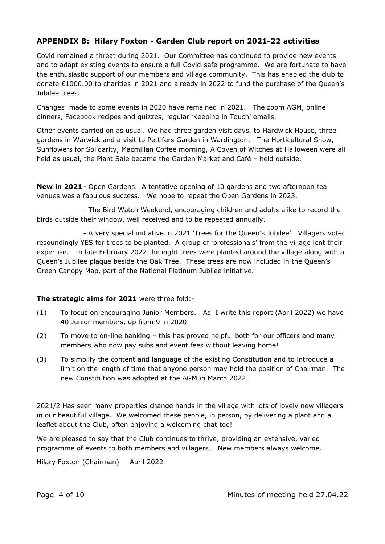## **APPENDIX B: Hilary Foxton - Garden Club report on 2021-22 activities**

Covid remained a threat during 2021. Our Committee has continued to provide new events and to adapt existing events to ensure a full Covid-safe programme. We are fortunate to have the enthusiastic support of our members and village community. This has enabled the club to donate £1000.00 to charities in 2021 and already in 2022 to fund the purchase of the Queen's Jubilee trees.

Changes made to some events in 2020 have remained in 2021. The zoom AGM, online dinners, Facebook recipes and quizzes, regular 'Keeping in Touch' emails.

Other events carried on as usual. We had three garden visit days, to Hardwick House, three gardens in Warwick and a visit to Pettifers Garden in Wardington. The Horticultural Show, Sunflowers for Solidarity, Macmillan Coffee morning, A Coven of Witches at Halloween were all held as usual, the Plant Sale became the Garden Market and Café – held outside.

**New in 2021**- Open Gardens. A tentative opening of 10 gardens and two afternoon tea venues was a fabulous success. We hope to repeat the Open Gardens in 2023.

- The Bird Watch Weekend, encouraging children and adults alike to record the birds outside their window, well received and to be repeated annually.

- A very special initiative in 2021 'Trees for the Queen's Jubilee'. Villagers voted resoundingly YES for trees to be planted. A group of 'professionals' from the village lent their expertise. In late February 2022 the eight trees were planted around the village along with a Queen's Jubilee plaque beside the Oak Tree. These trees are now included in the Queen's Green Canopy Map, part of the National Platinum Jubilee initiative.

### **The strategic aims for 2021** were three fold:-

- (1) To focus on encouraging Junior Members. As I write this report (April 2022) we have 40 Junior members, up from 9 in 2020.
- (2) To move to on-line banking this has proved helpful both for our officers and many members who now pay subs and event fees without leaving home!
- (3) To simplify the content and language of the existing Constitution and to introduce a limit on the length of time that anyone person may hold the position of Chairman. The new Constitution was adopted at the AGM in March 2022.

2021/2 Has seen many properties change hands in the village with lots of lovely new villagers in our beautiful village. We welcomed these people, in person, by delivering a plant and a leaflet about the Club, often enjoying a welcoming chat too!

We are pleased to say that the Club continues to thrive, providing an extensive, varied programme of events to both members and villagers. New members always welcome.

Hilary Foxton (Chairman) April 2022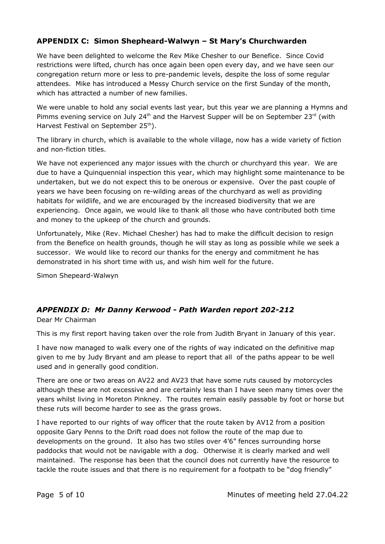# **APPENDIX C: Simon Shepheard-Walwyn – St Mary's Churchwarden**

We have been delighted to welcome the Rev Mike Chesher to our Benefice. Since Covid restrictions were lifted, church has once again been open every day, and we have seen our congregation return more or less to pre-pandemic levels, despite the loss of some regular attendees. Mike has introduced a Messy Church service on the first Sunday of the month, which has attracted a number of new families.

We were unable to hold any social events last year, but this year we are planning a Hymns and Pimms evening service on July 24<sup>th</sup> and the Harvest Supper will be on September 23<sup>rd</sup> (with Harvest Festival on September 25<sup>th</sup>).

The library in church, which is available to the whole village, now has a wide variety of fiction and non-fiction titles.

We have not experienced any major issues with the church or churchyard this year. We are due to have a Quinquennial inspection this year, which may highlight some maintenance to be undertaken, but we do not expect this to be onerous or expensive. Over the past couple of years we have been focusing on re-wilding areas of the churchyard as well as providing habitats for wildlife, and we are encouraged by the increased biodiversity that we are experiencing. Once again, we would like to thank all those who have contributed both time and money to the upkeep of the church and grounds.

Unfortunately, Mike (Rev. Michael Chesher) has had to make the difficult decision to resign from the Benefice on health grounds, though he will stay as long as possible while we seek a successor. We would like to record our thanks for the energy and commitment he has demonstrated in his short time with us, and wish him well for the future.

Simon Shepeard-Walwyn

# *APPENDIX D: Mr Danny Kerwood - Path Warden report 202-212*

Dear Mr Chairman

This is my first report having taken over the role from Judith Bryant in January of this year.

I have now managed to walk every one of the rights of way indicated on the definitive map given to me by Judy Bryant and am please to report that all of the paths appear to be well used and in generally good condition.

There are one or two areas on AV22 and AV23 that have some ruts caused by motorcycles although these are not excessive and are certainly less than I have seen many times over the years whilst living in Moreton Pinkney. The routes remain easily passable by foot or horse but these ruts will become harder to see as the grass grows.

I have reported to our rights of way officer that the route taken by AV12 from a position opposite Gary Penns to the Drift road does not follow the route of the map due to developments on the ground. It also has two stiles over 4'6" fences surrounding horse paddocks that would not be navigable with a dog. Otherwise it is clearly marked and well maintained. The response has been that the council does not currently have the resource to tackle the route issues and that there is no requirement for a footpath to be "dog friendly"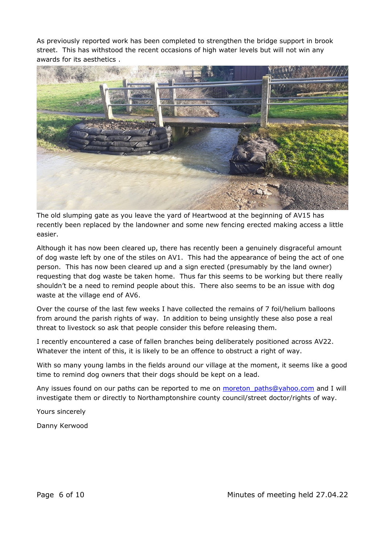As previously reported work has been completed to strengthen the bridge support in brook street. This has withstood the recent occasions of high water levels but will not win any awards for its aesthetics .



The old slumping gate as you leave the yard of Heartwood at the beginning of AV15 has recently been replaced by the landowner and some new fencing erected making access a little easier.

Although it has now been cleared up, there has recently been a genuinely disgraceful amount of dog waste left by one of the stiles on AV1. This had the appearance of being the act of one person. This has now been cleared up and a sign erected (presumably by the land owner) requesting that dog waste be taken home. Thus far this seems to be working but there really shouldn't be a need to remind people about this. There also seems to be an issue with dog waste at the village end of AV6.

Over the course of the last few weeks I have collected the remains of 7 foil/helium balloons from around the parish rights of way. In addition to being unsightly these also pose a real threat to livestock so ask that people consider this before releasing them.

I recently encountered a case of fallen branches being deliberately positioned across AV22. Whatever the intent of this, it is likely to be an offence to obstruct a right of way.

With so many young lambs in the fields around our village at the moment, it seems like a good time to remind dog owners that their dogs should be kept on a lead.

Any issues found on our paths can be reported to me on moreton paths@yahoo.com and I will investigate them or directly to Northamptonshire county council/street doctor/rights of way.

Yours sincerely

Danny Kerwood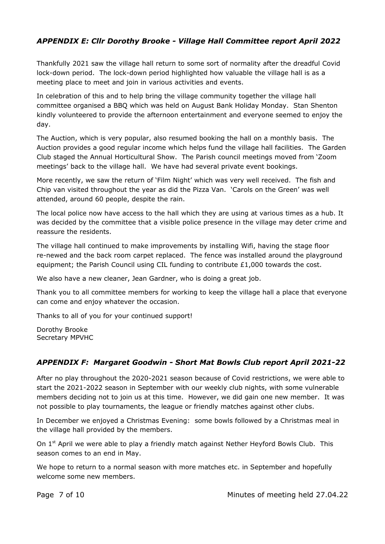# *APPENDIX E: Cllr Dorothy Brooke - Village Hall Committee report April 2022*

Thankfully 2021 saw the village hall return to some sort of normality after the dreadful Covid lock-down period. The lock-down period highlighted how valuable the village hall is as a meeting place to meet and join in various activities and events.

In celebration of this and to help bring the village community together the village hall committee organised a BBQ which was held on August Bank Holiday Monday. Stan Shenton kindly volunteered to provide the afternoon entertainment and everyone seemed to enjoy the day.

The Auction, which is very popular, also resumed booking the hall on a monthly basis. The Auction provides a good regular income which helps fund the village hall facilities. The Garden Club staged the Annual Horticultural Show. The Parish council meetings moved from 'Zoom meetings' back to the village hall. We have had several private event bookings.

More recently, we saw the return of 'Film Night' which was very well received. The fish and Chip van visited throughout the year as did the Pizza Van. 'Carols on the Green' was well attended, around 60 people, despite the rain.

The local police now have access to the hall which they are using at various times as a hub. It was decided by the committee that a visible police presence in the village may deter crime and reassure the residents.

The village hall continued to make improvements by installing Wifi, having the stage floor re-newed and the back room carpet replaced. The fence was installed around the playground equipment; the Parish Council using CIL funding to contribute  $£1,000$  towards the cost.

We also have a new cleaner, Jean Gardner, who is doing a great job.

Thank you to all committee members for working to keep the village hall a place that everyone can come and enjoy whatever the occasion.

Thanks to all of you for your continued support!

Dorothy Brooke Secretary MPVHC

## *APPENDIX F: Margaret Goodwin - Short Mat Bowls Club report April 2021-22*

After no play throughout the 2020-2021 season because of Covid restrictions, we were able to start the 2021-2022 season in September with our weekly club nights, with some vulnerable members deciding not to join us at this time. However, we did gain one new member. It was not possible to play tournaments, the league or friendly matches against other clubs.

In December we enjoyed a Christmas Evening: some bowls followed by a Christmas meal in the village hall provided by the members.

On  $1<sup>st</sup>$  April we were able to play a friendly match against Nether Heyford Bowls Club. This season comes to an end in May.

We hope to return to a normal season with more matches etc. in September and hopefully welcome some new members.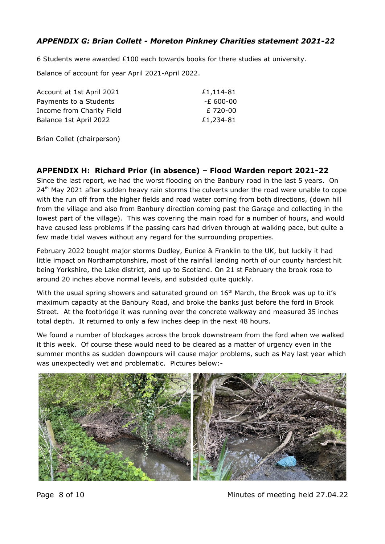# *APPENDIX G: Brian Collett - Moreton Pinkney Charities statement 2021-22*

6 Students were awarded  $£100$  each towards books for there studies at university.

Balance of account for year April 2021-April 2022.

| Account at 1st April 2021 | £1,114-81 |
|---------------------------|-----------|
| Payments to a Students    | -£ 600-00 |
| Income from Charity Field | £ 720-00  |
| Balance 1st April 2022    | £1,234-81 |
|                           |           |

Brian Collet (chairperson)

## **APPENDIX H: Richard Prior (in absence) – Flood Warden report 2021-22**

Since the last report, we had the worst flooding on the Banbury road in the last 5 years. On  $24<sup>th</sup>$  May 2021 after sudden heavy rain storms the culverts under the road were unable to cope with the run off from the higher fields and road water coming from both directions, (down hill from the village and also from Banbury direction coming past the Garage and collecting in the lowest part of the village). This was covering the main road for a number of hours, and would have caused less problems if the passing cars had driven through at walking pace, but quite a few made tidal waves without any regard for the surrounding properties.

February 2022 bought major storms Dudley, Eunice & Franklin to the UK, but luckily it had little impact on Northamptonshire, most of the rainfall landing north of our county hardest hit being Yorkshire, the Lake district, and up to Scotland. On 21 st February the brook rose to around 20 inches above normal levels, and subsided quite quickly.

With the usual spring showers and saturated ground on  $16<sup>th</sup>$  March, the Brook was up to it's maximum capacity at the Banbury Road, and broke the banks just before the ford in Brook Street. At the footbridge it was running over the concrete walkway and measured 35 inches total depth. It returned to only a few inches deep in the next 48 hours.

We found a number of blockages across the brook downstream from the ford when we walked it this week. Of course these would need to be cleared as a matter of urgency even in the summer months as sudden downpours will cause major problems, such as May last year which was unexpectedly wet and problematic. Pictures below:-



Page 8 of 10 Minutes of meeting held 27.04.22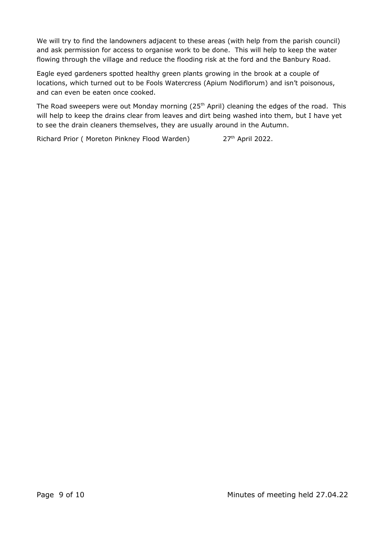We will try to find the landowners adjacent to these areas (with help from the parish council) and ask permission for access to organise work to be done. This will help to keep the water flowing through the village and reduce the flooding risk at the ford and the Banbury Road.

Eagle eyed gardeners spotted healthy green plants growing in the brook at a couple of locations, which turned out to be Fools Watercress (Apium Nodiflorum) and isn't poisonous, and can even be eaten once cooked.

The Road sweepers were out Monday morning (25<sup>th</sup> April) cleaning the edges of the road. This will help to keep the drains clear from leaves and dirt being washed into them, but I have yet to see the drain cleaners themselves, they are usually around in the Autumn.

Richard Prior ( Moreton Pinkney Flood Warden) 27<sup>th</sup> April 2022.